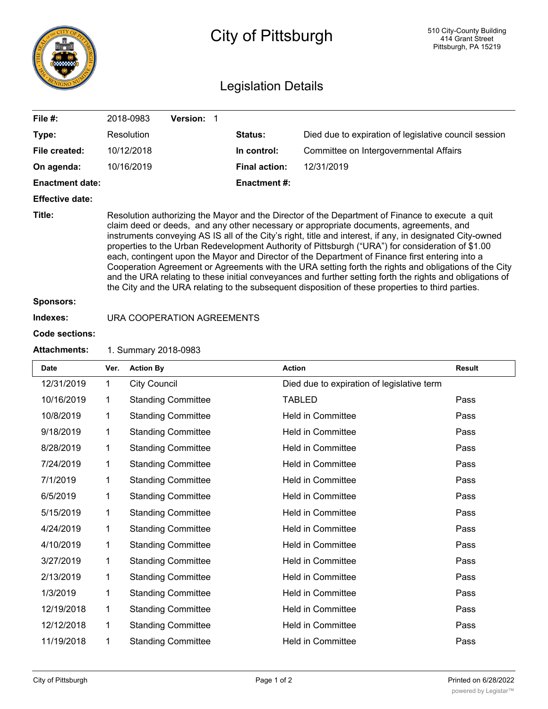|                            | City of Pittsburgh                                                                                                                                                                                                                                                                                                                                                                                                                                                                                                                                                                                                                                                                                                                                                                                                                         |                            |                      |                                                       | 510 City-County Building<br>414 Grant Street<br>Pittsburgh, PA 15219 |  |  |  |  |
|----------------------------|--------------------------------------------------------------------------------------------------------------------------------------------------------------------------------------------------------------------------------------------------------------------------------------------------------------------------------------------------------------------------------------------------------------------------------------------------------------------------------------------------------------------------------------------------------------------------------------------------------------------------------------------------------------------------------------------------------------------------------------------------------------------------------------------------------------------------------------------|----------------------------|----------------------|-------------------------------------------------------|----------------------------------------------------------------------|--|--|--|--|
| <b>Legislation Details</b> |                                                                                                                                                                                                                                                                                                                                                                                                                                                                                                                                                                                                                                                                                                                                                                                                                                            |                            |                      |                                                       |                                                                      |  |  |  |  |
| File $#$ :                 |                                                                                                                                                                                                                                                                                                                                                                                                                                                                                                                                                                                                                                                                                                                                                                                                                                            | 2018-0983<br>Version: 1    |                      |                                                       |                                                                      |  |  |  |  |
| Type:                      |                                                                                                                                                                                                                                                                                                                                                                                                                                                                                                                                                                                                                                                                                                                                                                                                                                            | Resolution                 | <b>Status:</b>       | Died due to expiration of legislative council session |                                                                      |  |  |  |  |
| File created:              |                                                                                                                                                                                                                                                                                                                                                                                                                                                                                                                                                                                                                                                                                                                                                                                                                                            | 10/12/2018                 | In control:          | Committee on Intergovernmental Affairs                |                                                                      |  |  |  |  |
| On agenda:                 |                                                                                                                                                                                                                                                                                                                                                                                                                                                                                                                                                                                                                                                                                                                                                                                                                                            | 10/16/2019                 | <b>Final action:</b> | 12/31/2019                                            |                                                                      |  |  |  |  |
| <b>Enactment date:</b>     | <b>Enactment #:</b>                                                                                                                                                                                                                                                                                                                                                                                                                                                                                                                                                                                                                                                                                                                                                                                                                        |                            |                      |                                                       |                                                                      |  |  |  |  |
| <b>Effective date:</b>     |                                                                                                                                                                                                                                                                                                                                                                                                                                                                                                                                                                                                                                                                                                                                                                                                                                            |                            |                      |                                                       |                                                                      |  |  |  |  |
| Title:                     | Resolution authorizing the Mayor and the Director of the Department of Finance to execute a quit<br>claim deed or deeds, and any other necessary or appropriate documents, agreements, and<br>instruments conveying AS IS all of the City's right, title and interest, if any, in designated City-owned<br>properties to the Urban Redevelopment Authority of Pittsburgh ("URA") for consideration of \$1.00<br>each, contingent upon the Mayor and Director of the Department of Finance first entering into a<br>Cooperation Agreement or Agreements with the URA setting forth the rights and obligations of the City<br>and the URA relating to these initial conveyances and further setting forth the rights and obligations of<br>the City and the URA relating to the subsequent disposition of these properties to third parties. |                            |                      |                                                       |                                                                      |  |  |  |  |
| <b>Sponsors:</b>           |                                                                                                                                                                                                                                                                                                                                                                                                                                                                                                                                                                                                                                                                                                                                                                                                                                            |                            |                      |                                                       |                                                                      |  |  |  |  |
| Indexes:                   |                                                                                                                                                                                                                                                                                                                                                                                                                                                                                                                                                                                                                                                                                                                                                                                                                                            | URA COOPERATION AGREEMENTS |                      |                                                       |                                                                      |  |  |  |  |
| <b>Code sections:</b>      |                                                                                                                                                                                                                                                                                                                                                                                                                                                                                                                                                                                                                                                                                                                                                                                                                                            |                            |                      |                                                       |                                                                      |  |  |  |  |
| <b>Attachments:</b>        | 1. Summary 2018-0983                                                                                                                                                                                                                                                                                                                                                                                                                                                                                                                                                                                                                                                                                                                                                                                                                       |                            |                      |                                                       |                                                                      |  |  |  |  |
| Date                       | Ver.                                                                                                                                                                                                                                                                                                                                                                                                                                                                                                                                                                                                                                                                                                                                                                                                                                       | <b>Action By</b>           | <b>Action</b>        |                                                       | <b>Result</b>                                                        |  |  |  |  |
| 12/31/2019                 | $\mathbf 1$                                                                                                                                                                                                                                                                                                                                                                                                                                                                                                                                                                                                                                                                                                                                                                                                                                | <b>City Council</b>        |                      | Died due to expiration of legislative term            |                                                                      |  |  |  |  |
| 10/16/2019                 | 1                                                                                                                                                                                                                                                                                                                                                                                                                                                                                                                                                                                                                                                                                                                                                                                                                                          | <b>Standing Committee</b>  |                      | <b>TABLED</b>                                         | Pass                                                                 |  |  |  |  |
| 10/8/2019                  | 1                                                                                                                                                                                                                                                                                                                                                                                                                                                                                                                                                                                                                                                                                                                                                                                                                                          | <b>Standing Committee</b>  |                      | <b>Held in Committee</b>                              | Pass                                                                 |  |  |  |  |
| 9/18/2019                  | 1                                                                                                                                                                                                                                                                                                                                                                                                                                                                                                                                                                                                                                                                                                                                                                                                                                          | <b>Standing Committee</b>  |                      | Held in Committee                                     | Pass                                                                 |  |  |  |  |
| 8/28/2019                  | 1                                                                                                                                                                                                                                                                                                                                                                                                                                                                                                                                                                                                                                                                                                                                                                                                                                          | <b>Standing Committee</b>  |                      | Held in Committee                                     | Pass                                                                 |  |  |  |  |
| 7/24/2019                  | 1                                                                                                                                                                                                                                                                                                                                                                                                                                                                                                                                                                                                                                                                                                                                                                                                                                          | <b>Standing Committee</b>  |                      | Held in Committee                                     | Pass                                                                 |  |  |  |  |
| 7/1/2019                   | 1                                                                                                                                                                                                                                                                                                                                                                                                                                                                                                                                                                                                                                                                                                                                                                                                                                          | <b>Standing Committee</b>  |                      | Held in Committee                                     | Pass                                                                 |  |  |  |  |
| 6/5/2019                   | 1                                                                                                                                                                                                                                                                                                                                                                                                                                                                                                                                                                                                                                                                                                                                                                                                                                          | <b>Standing Committee</b>  |                      | Held in Committee                                     | Pass                                                                 |  |  |  |  |
| 5/15/2019                  | 1                                                                                                                                                                                                                                                                                                                                                                                                                                                                                                                                                                                                                                                                                                                                                                                                                                          | <b>Standing Committee</b>  |                      | Held in Committee                                     | Pass                                                                 |  |  |  |  |
| 4/24/2019                  | 1                                                                                                                                                                                                                                                                                                                                                                                                                                                                                                                                                                                                                                                                                                                                                                                                                                          | <b>Standing Committee</b>  |                      | Held in Committee                                     | Pass                                                                 |  |  |  |  |
| 4/10/2019                  | 1                                                                                                                                                                                                                                                                                                                                                                                                                                                                                                                                                                                                                                                                                                                                                                                                                                          | <b>Standing Committee</b>  |                      | Held in Committee                                     | Pass                                                                 |  |  |  |  |
| 3/27/2019                  | 1                                                                                                                                                                                                                                                                                                                                                                                                                                                                                                                                                                                                                                                                                                                                                                                                                                          | <b>Standing Committee</b>  |                      | Held in Committee                                     | Pass                                                                 |  |  |  |  |
| 2/13/2019                  | 1                                                                                                                                                                                                                                                                                                                                                                                                                                                                                                                                                                                                                                                                                                                                                                                                                                          | <b>Standing Committee</b>  |                      | Held in Committee                                     | Pass                                                                 |  |  |  |  |
| 1/3/2019                   | 1                                                                                                                                                                                                                                                                                                                                                                                                                                                                                                                                                                                                                                                                                                                                                                                                                                          | <b>Standing Committee</b>  |                      | Held in Committee                                     | Pass                                                                 |  |  |  |  |
| 12/19/2018                 | 1                                                                                                                                                                                                                                                                                                                                                                                                                                                                                                                                                                                                                                                                                                                                                                                                                                          | <b>Standing Committee</b>  |                      | Held in Committee                                     | Pass                                                                 |  |  |  |  |
| 12/12/2018                 | 1                                                                                                                                                                                                                                                                                                                                                                                                                                                                                                                                                                                                                                                                                                                                                                                                                                          | <b>Standing Committee</b>  |                      | Held in Committee                                     | Pass                                                                 |  |  |  |  |
| 11/19/2018                 | 1                                                                                                                                                                                                                                                                                                                                                                                                                                                                                                                                                                                                                                                                                                                                                                                                                                          | <b>Standing Committee</b>  |                      | Held in Committee                                     | Pass                                                                 |  |  |  |  |